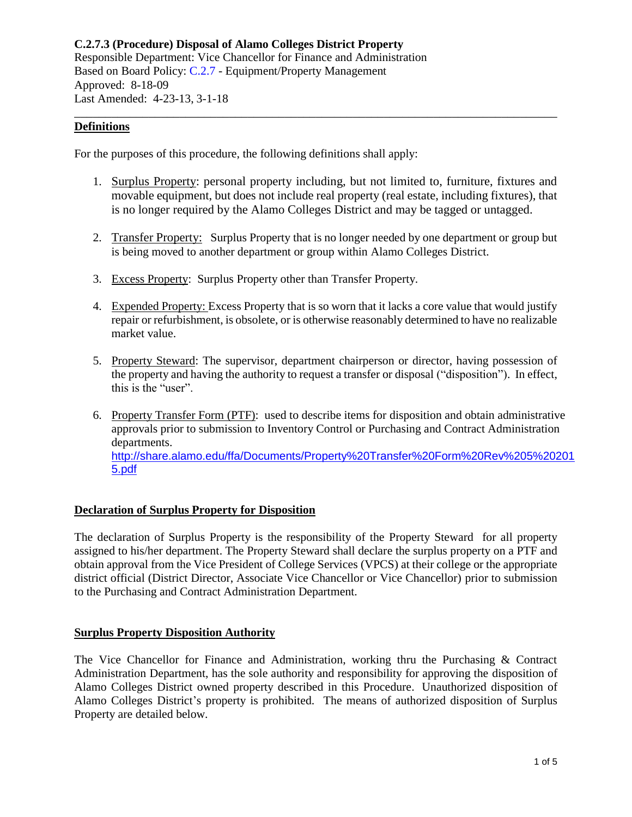# **Definitions**

For the purposes of this procedure, the following definitions shall apply:

1. Surplus Property: personal property including, but not limited to, furniture, fixtures and movable equipment, but does not include real property (real estate, including fixtures), that is no longer required by the Alamo Colleges District and may be tagged or untagged.

\_\_\_\_\_\_\_\_\_\_\_\_\_\_\_\_\_\_\_\_\_\_\_\_\_\_\_\_\_\_\_\_\_\_\_\_\_\_\_\_\_\_\_\_\_\_\_\_\_\_\_\_\_\_\_\_\_\_\_\_\_\_\_\_\_\_\_\_\_\_\_\_\_\_\_\_\_\_

- 2. Transfer Property: Surplus Property that is no longer needed by one department or group but is being moved to another department or group within Alamo Colleges District.
- 3. Excess Property: Surplus Property other than Transfer Property.
- 4. Expended Property: Excess Property that is so worn that it lacks a core value that would justify repair or refurbishment, is obsolete, or is otherwise reasonably determined to have no realizable market value.
- 5. Property Steward: The supervisor, department chairperson or director, having possession of the property and having the authority to request a transfer or disposal ("disposition"). In effect, this is the "user".
- 6. Property Transfer Form (PTF): used to describe items for disposition and obtain administrative approvals prior to submission to Inventory Control or Purchasing and Contract Administration departments. [http://share.alamo.edu/ffa/Documents/Property%20Transfer%20Form%20Rev%205%20201](http://share.alamo.edu/ffa/Documents/Property%20Transfer%20Form%20Rev%205%202015.pdf) [5.pdf](http://share.alamo.edu/ffa/Documents/Property%20Transfer%20Form%20Rev%205%202015.pdf)

### **Declaration of Surplus Property for Disposition**

The declaration of Surplus Property is the responsibility of the Property Steward for all property assigned to his/her department. The Property Steward shall declare the surplus property on a PTF and obtain approval from the Vice President of College Services (VPCS) at their college or the appropriate district official (District Director, Associate Vice Chancellor or Vice Chancellor) prior to submission to the Purchasing and Contract Administration Department.

### **Surplus Property Disposition Authority**

The Vice Chancellor for Finance and Administration, working thru the Purchasing & Contract Administration Department, has the sole authority and responsibility for approving the disposition of Alamo Colleges District owned property described in this Procedure. Unauthorized disposition of Alamo Colleges District's property is prohibited. The means of authorized disposition of Surplus Property are detailed below.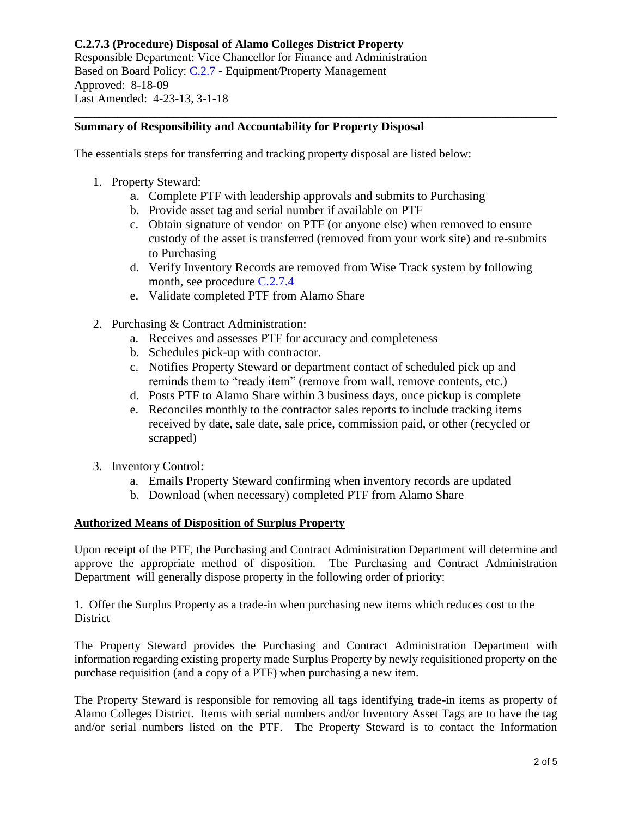# **Summary of Responsibility and Accountability for Property Disposal**

The essentials steps for transferring and tracking property disposal are listed below:

- 1. Property Steward:
	- a. Complete PTF with leadership approvals and submits to Purchasing

\_\_\_\_\_\_\_\_\_\_\_\_\_\_\_\_\_\_\_\_\_\_\_\_\_\_\_\_\_\_\_\_\_\_\_\_\_\_\_\_\_\_\_\_\_\_\_\_\_\_\_\_\_\_\_\_\_\_\_\_\_\_\_\_\_\_\_\_\_\_\_\_\_\_\_\_\_\_

- b. Provide asset tag and serial number if available on PTF
- c. Obtain signature of vendor on PTF (or anyone else) when removed to ensure custody of the asset is transferred (removed from your work site) and re-submits to Purchasing
- d. Verify Inventory Records are removed from Wise Track system by following month, see procedure [C.2.7.4](https://www.alamo.edu/siteassets/district/about-us/leadership/board-of-trustees/policies-pdfs/section-c/c.2.7.4-procedure1.pdf)
- e. Validate completed PTF from Alamo Share
- 2. Purchasing & Contract Administration:
	- a. Receives and assesses PTF for accuracy and completeness
	- b. Schedules pick-up with contractor.
	- c. Notifies Property Steward or department contact of scheduled pick up and reminds them to "ready item" (remove from wall, remove contents, etc.)
	- d. Posts PTF to Alamo Share within 3 business days, once pickup is complete
	- e. Reconciles monthly to the contractor sales reports to include tracking items received by date, sale date, sale price, commission paid, or other (recycled or scrapped)
- 3. Inventory Control:
	- a. Emails Property Steward confirming when inventory records are updated
	- b. Download (when necessary) completed PTF from Alamo Share

# **Authorized Means of Disposition of Surplus Property**

Upon receipt of the PTF, the Purchasing and Contract Administration Department will determine and approve the appropriate method of disposition. The Purchasing and Contract Administration Department will generally dispose property in the following order of priority:

1. Offer the Surplus Property as a trade-in when purchasing new items which reduces cost to the **District** 

The Property Steward provides the Purchasing and Contract Administration Department with information regarding existing property made Surplus Property by newly requisitioned property on the purchase requisition (and a copy of a PTF) when purchasing a new item.

The Property Steward is responsible for removing all tags identifying trade-in items as property of Alamo Colleges District. Items with serial numbers and/or Inventory Asset Tags are to have the tag and/or serial numbers listed on the PTF. The Property Steward is to contact the Information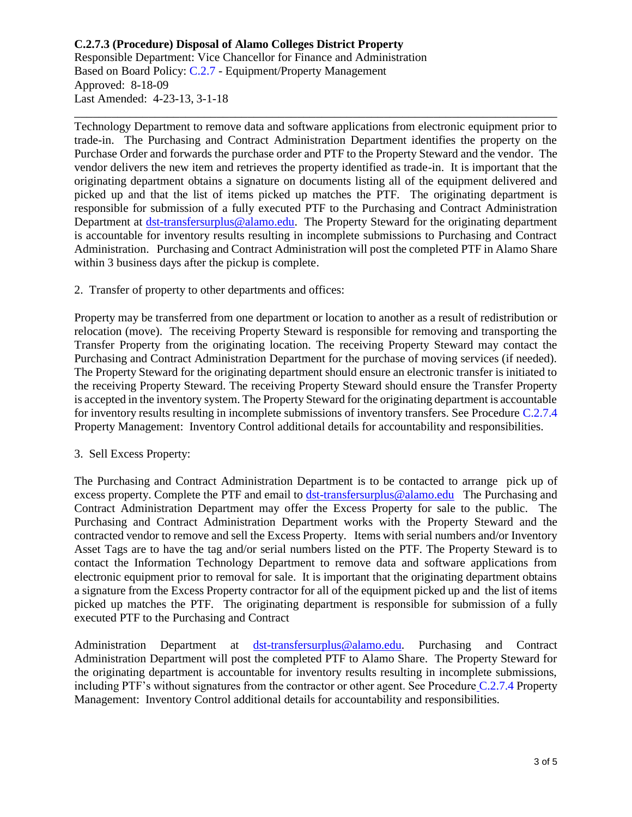Technology Department to remove data and software applications from electronic equipment prior to trade-in. The Purchasing and Contract Administration Department identifies the property on the Purchase Order and forwards the purchase order and PTF to the Property Steward and the vendor. The vendor delivers the new item and retrieves the property identified as trade-in. It is important that the originating department obtains a signature on documents listing all of the equipment delivered and picked up and that the list of items picked up matches the PTF. The originating department is responsible for submission of a fully executed PTF to the Purchasing and Contract Administration Department at [dst-transfersurplus@alamo.edu.](mailto:dst-transfersurplus@alamo.edu) The Property Steward for the originating department is accountable for inventory results resulting in incomplete submissions to Purchasing and Contract Administration. Purchasing and Contract Administration will post the completed PTF in Alamo Share within 3 business days after the pickup is complete.

\_\_\_\_\_\_\_\_\_\_\_\_\_\_\_\_\_\_\_\_\_\_\_\_\_\_\_\_\_\_\_\_\_\_\_\_\_\_\_\_\_\_\_\_\_\_\_\_\_\_\_\_\_\_\_\_\_\_\_\_\_\_\_\_\_\_\_\_\_\_\_\_\_\_\_\_\_\_

2. Transfer of property to other departments and offices:

Property may be transferred from one department or location to another as a result of redistribution or relocation (move). The receiving Property Steward is responsible for removing and transporting the Transfer Property from the originating location. The receiving Property Steward may contact the Purchasing and Contract Administration Department for the purchase of moving services (if needed). The Property Steward for the originating department should ensure an electronic transfer is initiated to the receiving Property Steward. The receiving Property Steward should ensure the Transfer Property is accepted in the inventory system. The Property Steward for the originating department is accountable for inventory results resulting in incomplete submissions of inventory transfers. See Procedure [C.2.7.4](https://www.alamo.edu/siteassets/district/about-us/leadership/board-of-trustees/policies-pdfs/section-c/c.2.7.4-procedure1.pdf) Property Management: Inventory Control additional details for accountability and responsibilities.

### 3. Sell Excess Property:

The Purchasing and Contract Administration Department is to be contacted to arrange pick up of excess property. Complete the PTF and email to [dst-transfersurplus@alamo.edu](mailto:dst-transfersurplus@alamo.edu) The Purchasing and Contract Administration Department may offer the Excess Property for sale to the public. The Purchasing and Contract Administration Department works with the Property Steward and the contracted vendor to remove and sell the Excess Property. Items with serial numbers and/or Inventory Asset Tags are to have the tag and/or serial numbers listed on the PTF. The Property Steward is to contact the Information Technology Department to remove data and software applications from electronic equipment prior to removal for sale. It is important that the originating department obtains a signature from the Excess Property contractor for all of the equipment picked up and the list of items picked up matches the PTF. The originating department is responsible for submission of a fully executed PTF to the Purchasing and Contract

Administration Department at [dst-transfersurplus@alamo.edu.](mailto:dst-transfersurplus@alamo.edu) Purchasing and Contract Administration Department will post the completed PTF to Alamo Share. The Property Steward for the originating department is accountable for inventory results resulting in incomplete submissions, including PTF's without signatures from the contractor or other agent. See Procedure [C.2.7.4](https://www.alamo.edu/siteassets/district/about-us/leadership/board-of-trustees/policies-pdfs/section-c/c.2.7.4-procedure1.pdf) Property Management: Inventory Control additional details for accountability and responsibilities.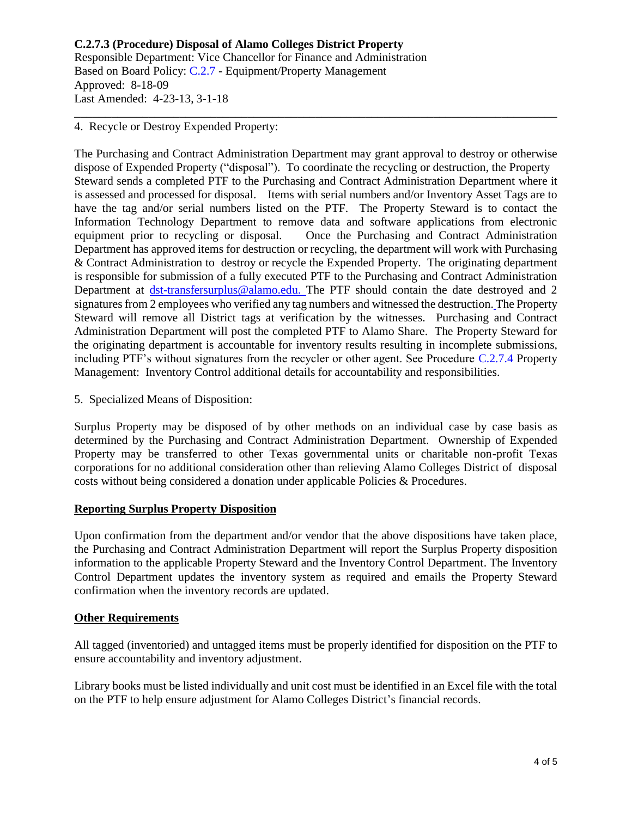4. Recycle or Destroy Expended Property:

The Purchasing and Contract Administration Department may grant approval to destroy or otherwise dispose of Expended Property ("disposal"). To coordinate the recycling or destruction, the Property Steward sends a completed PTF to the Purchasing and Contract Administration Department where it is assessed and processed for disposal. Items with serial numbers and/or Inventory Asset Tags are to have the tag and/or serial numbers listed on the PTF. The Property Steward is to contact the Information Technology Department to remove data and software applications from electronic equipment prior to recycling or disposal. Once the Purchasing and Contract Administration Department has approved items for destruction or recycling, the department will work with Purchasing & Contract Administration to destroy or recycle the Expended Property. The originating department is responsible for submission of a fully executed PTF to the Purchasing and Contract Administration Department at [dst-transfersurplus@alamo.edu.](mailto:dst-transfersurplus@alamo.edu) The PTF should contain the date destroyed and 2 signatures from 2 employees who verified any tag numbers and witnessed the destruction. The Property Steward will remove all District tags at verification by the witnesses. Purchasing and Contract Administration Department will post the completed PTF to Alamo Share. The Property Steward for the originating department is accountable for inventory results resulting in incomplete submissions, including PTF's without signatures from the recycler or other agent. See Procedure [C.2.7.4](https://www.alamo.edu/siteassets/district/about-us/leadership/board-of-trustees/policies-pdfs/section-c/c.2.7.4-procedure1.pdf) Property Management: Inventory Control additional details for accountability and responsibilities.

\_\_\_\_\_\_\_\_\_\_\_\_\_\_\_\_\_\_\_\_\_\_\_\_\_\_\_\_\_\_\_\_\_\_\_\_\_\_\_\_\_\_\_\_\_\_\_\_\_\_\_\_\_\_\_\_\_\_\_\_\_\_\_\_\_\_\_\_\_\_\_\_\_\_\_\_\_\_

5. Specialized Means of Disposition:

Surplus Property may be disposed of by other methods on an individual case by case basis as determined by the Purchasing and Contract Administration Department. Ownership of Expended Property may be transferred to other Texas governmental units or charitable non-profit Texas corporations for no additional consideration other than relieving Alamo Colleges District of disposal costs without being considered a donation under applicable Policies & Procedures.

# **Reporting Surplus Property Disposition**

Upon confirmation from the department and/or vendor that the above dispositions have taken place, the Purchasing and Contract Administration Department will report the Surplus Property disposition information to the applicable Property Steward and the Inventory Control Department. The Inventory Control Department updates the inventory system as required and emails the Property Steward confirmation when the inventory records are updated.

### **Other Requirements**

All tagged (inventoried) and untagged items must be properly identified for disposition on the PTF to ensure accountability and inventory adjustment.

Library books must be listed individually and unit cost must be identified in an Excel file with the total on the PTF to help ensure adjustment for Alamo Colleges District's financial records.